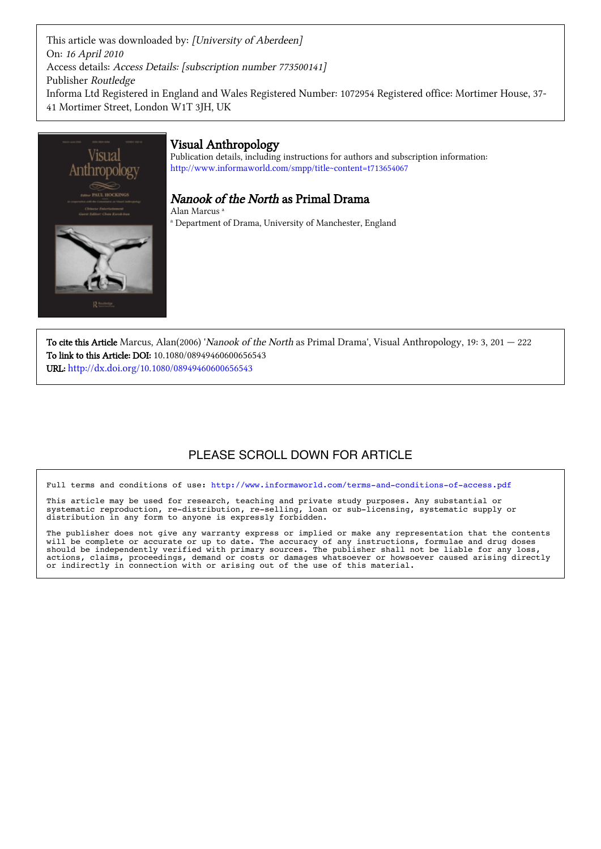This article was downloaded by: [University of Aberdeen] On: 16 April 2010 Access details: Access Details: [subscription number 773500141] Publisher Routledge Informa Ltd Registered in England and Wales Registered Number: 1072954 Registered office: Mortimer House, 37-41 Mortimer Street, London W1T 3IH, UK



To cite this Article Marcus, Alan(2006) 'Nanook of the North as Primal Drama', Visual Anthropology, 19: 3, 201  $-$  222 To link to this Article: DOI: 10.1080/08949460600656543 URL: http://dx.doi.org/10.1080/08949460600656543

# PLEASE SCROLL DOWN FOR ARTICLE

Full terms and conditions of use: http://www.informaworld.com/terms-and-conditions-of-access.pdf

This article may be used for research, teaching and private study purposes. Any substantial or systematic reproduction, re-distribution, re-selling, loan or sub-licensing, systematic supply or distribution in any form to anyone is expressly forbidden.

The publisher does not give any warranty express or implied or make any representation that the contents will be complete or accurate or up to date. The accuracy of any instructions, formulae and drug doses should be independently verified with primary sources. The publisher shall not be liable for any loss, actions, claims, proceedings, demand or costs or damages whatsoever or howsoever caused arising directly or indirectly in connection with or arising out of the use of this material.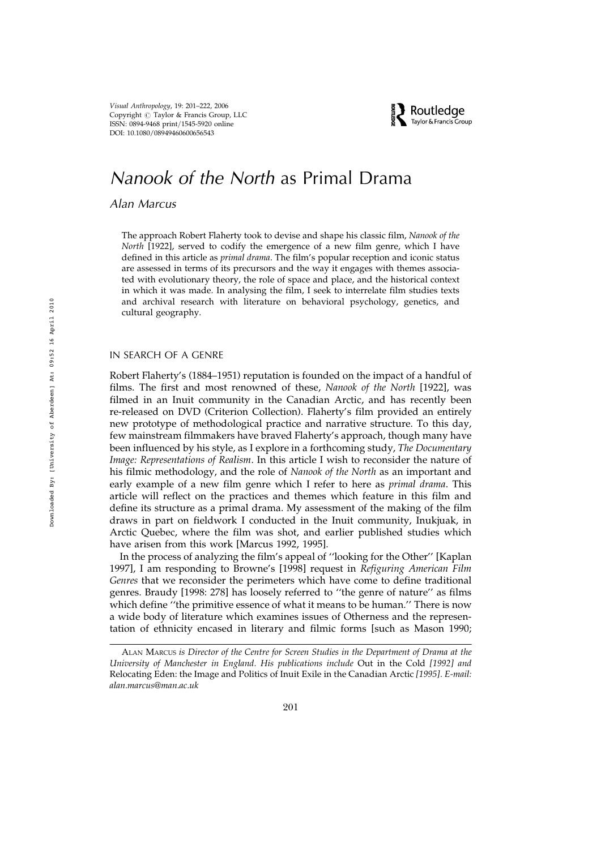Visual Anthropology, 19: 201–222, 2006 Copyright  $\odot$  Taylor & Francis Group, LLC ISSN: 0894-9468 print/1545-5920 online DOI: 10.1080/08949460600656543



# Nanook of the North as Primal Drama

# Alan Marcus

The approach Robert Flaherty took to devise and shape his classic film, Nanook of the North [1922], served to codify the emergence of a new film genre, which I have defined in this article as primal drama. The film's popular reception and iconic status are assessed in terms of its precursors and the way it engages with themes associated with evolutionary theory, the role of space and place, and the historical context in which it was made. In analysing the film, I seek to interrelate film studies texts and archival research with literature on behavioral psychology, genetics, and cultural geography.

## IN SEARCH OF A GENRE

Robert Flaherty's (1884–1951) reputation is founded on the impact of a handful of films. The first and most renowned of these, Nanook of the North [1922], was filmed in an Inuit community in the Canadian Arctic, and has recently been re-released on DVD (Criterion Collection). Flaherty's film provided an entirely new prototype of methodological practice and narrative structure. To this day, few mainstream filmmakers have braved Flaherty's approach, though many have been influenced by his style, as I explore in a forthcoming study, The Documentary Image: Representations of Realism. In this article I wish to reconsider the nature of his filmic methodology, and the role of Nanook of the North as an important and early example of a new film genre which I refer to here as *primal drama*. This article will reflect on the practices and themes which feature in this film and define its structure as a primal drama. My assessment of the making of the film draws in part on fieldwork I conducted in the Inuit community, Inukjuak, in Arctic Quebec, where the film was shot, and earlier published studies which have arisen from this work [Marcus 1992, 1995].

In the process of analyzing the film's appeal of ''looking for the Other'' [Kaplan 1997], I am responding to Browne's [1998] request in Refiguring American Film Genres that we reconsider the perimeters which have come to define traditional genres. Braudy [1998: 278] has loosely referred to ''the genre of nature'' as films which define ''the primitive essence of what it means to be human.'' There is now a wide body of literature which examines issues of Otherness and the representation of ethnicity encased in literary and filmic forms [such as Mason 1990;

ALAN MARCUS is Director of the Centre for Screen Studies in the Department of Drama at the University of Manchester in England. His publications include Out in the Cold [1992] and Relocating Eden: the Image and Politics of Inuit Exile in the Canadian Arctic [1995]. E-mail: alan.marcus@man.ac.uk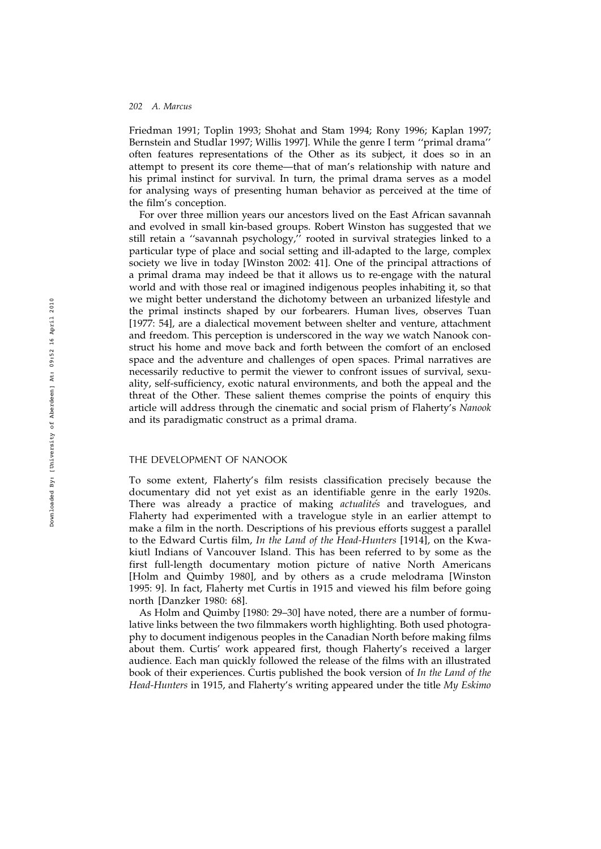Friedman 1991; Toplin 1993; Shohat and Stam 1994; Rony 1996; Kaplan 1997; Bernstein and Studlar 1997; Willis 1997]. While the genre I term ''primal drama'' often features representations of the Other as its subject, it does so in an attempt to present its core theme—that of man's relationship with nature and his primal instinct for survival. In turn, the primal drama serves as a model for analysing ways of presenting human behavior as perceived at the time of the film's conception.

For over three million years our ancestors lived on the East African savannah and evolved in small kin-based groups. Robert Winston has suggested that we still retain a "savannah psychology," rooted in survival strategies linked to a particular type of place and social setting and ill-adapted to the large, complex society we live in today [Winston 2002: 41]. One of the principal attractions of a primal drama may indeed be that it allows us to re-engage with the natural world and with those real or imagined indigenous peoples inhabiting it, so that we might better understand the dichotomy between an urbanized lifestyle and the primal instincts shaped by our forbearers. Human lives, observes Tuan [1977: 54], are a dialectical movement between shelter and venture, attachment and freedom. This perception is underscored in the way we watch Nanook construct his home and move back and forth between the comfort of an enclosed space and the adventure and challenges of open spaces. Primal narratives are necessarily reductive to permit the viewer to confront issues of survival, sexuality, self-sufficiency, exotic natural environments, and both the appeal and the threat of the Other. These salient themes comprise the points of enquiry this article will address through the cinematic and social prism of Flaherty's Nanook and its paradigmatic construct as a primal drama.

#### THE DEVELOPMENT OF NANOOK

To some extent, Flaherty's film resists classification precisely because the documentary did not yet exist as an identifiable genre in the early 1920s. There was already a practice of making *actualités* and travelogues, and Flaherty had experimented with a travelogue style in an earlier attempt to make a film in the north. Descriptions of his previous efforts suggest a parallel to the Edward Curtis film, In the Land of the Head-Hunters [1914], on the Kwakiutl Indians of Vancouver Island. This has been referred to by some as the first full-length documentary motion picture of native North Americans [Holm and Quimby 1980], and by others as a crude melodrama [Winston 1995: 9]. In fact, Flaherty met Curtis in 1915 and viewed his film before going north [Danzker 1980: 68].

As Holm and Quimby [1980: 29–30] have noted, there are a number of formulative links between the two filmmakers worth highlighting. Both used photography to document indigenous peoples in the Canadian North before making films about them. Curtis' work appeared first, though Flaherty's received a larger audience. Each man quickly followed the release of the films with an illustrated book of their experiences. Curtis published the book version of In the Land of the Head-Hunters in 1915, and Flaherty's writing appeared under the title My Eskimo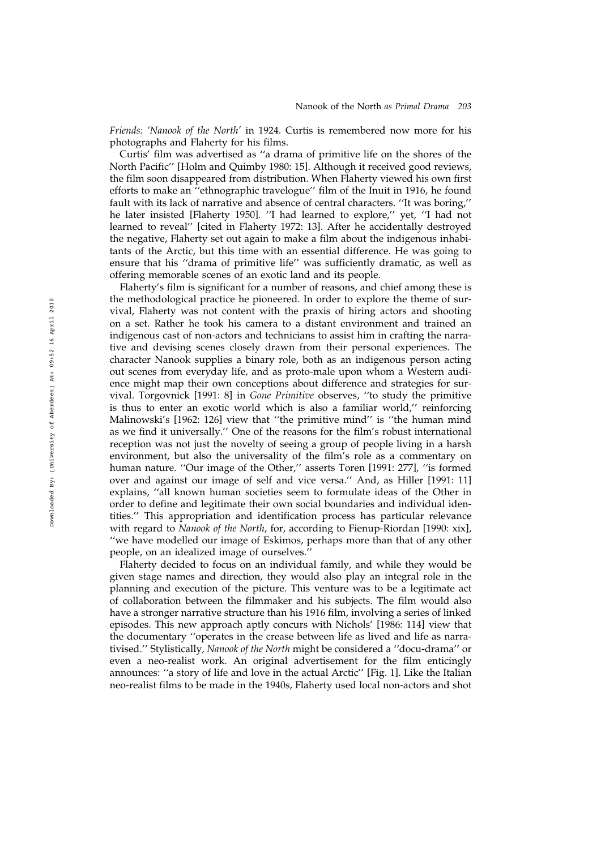Friends: 'Nanook of the North' in 1924. Curtis is remembered now more for his photographs and Flaherty for his films.

Curtis' film was advertised as ''a drama of primitive life on the shores of the North Pacific'' [Holm and Quimby 1980: 15]. Although it received good reviews, the film soon disappeared from distribution. When Flaherty viewed his own first efforts to make an ''ethnographic travelogue'' film of the Inuit in 1916, he found fault with its lack of narrative and absence of central characters. ''It was boring,'' he later insisted [Flaherty 1950]. ''I had learned to explore,'' yet, ''I had not learned to reveal'' [cited in Flaherty 1972: 13]. After he accidentally destroyed the negative, Flaherty set out again to make a film about the indigenous inhabitants of the Arctic, but this time with an essential difference. He was going to ensure that his ''drama of primitive life'' was sufficiently dramatic, as well as offering memorable scenes of an exotic land and its people.

Flaherty's film is significant for a number of reasons, and chief among these is the methodological practice he pioneered. In order to explore the theme of survival, Flaherty was not content with the praxis of hiring actors and shooting on a set. Rather he took his camera to a distant environment and trained an indigenous cast of non-actors and technicians to assist him in crafting the narrative and devising scenes closely drawn from their personal experiences. The character Nanook supplies a binary role, both as an indigenous person acting out scenes from everyday life, and as proto-male upon whom a Western audience might map their own conceptions about difference and strategies for survival. Torgovnick [1991: 8] in Gone Primitive observes, ''to study the primitive is thus to enter an exotic world which is also a familiar world,'' reinforcing Malinowski's [1962: 126] view that ''the primitive mind'' is ''the human mind as we find it universally.'' One of the reasons for the film's robust international reception was not just the novelty of seeing a group of people living in a harsh environment, but also the universality of the film's role as a commentary on human nature. ''Our image of the Other,'' asserts Toren [1991: 277], ''is formed over and against our image of self and vice versa.'' And, as Hiller [1991: 11] explains, ''all known human societies seem to formulate ideas of the Other in order to define and legitimate their own social boundaries and individual identities.'' This appropriation and identification process has particular relevance with regard to Nanook of the North, for, according to Fienup-Riordan [1990: xix], ''we have modelled our image of Eskimos, perhaps more than that of any other people, on an idealized image of ourselves.''

Flaherty decided to focus on an individual family, and while they would be given stage names and direction, they would also play an integral role in the planning and execution of the picture. This venture was to be a legitimate act of collaboration between the filmmaker and his subjects. The film would also have a stronger narrative structure than his 1916 film, involving a series of linked episodes. This new approach aptly concurs with Nichols' [1986: 114] view that the documentary ''operates in the crease between life as lived and life as narrativised.'' Stylistically, Nanook of the North might be considered a ''docu-drama'' or even a neo-realist work. An original advertisement for the film enticingly announces: ''a story of life and love in the actual Arctic'' [Fig. 1]. Like the Italian neo-realist films to be made in the 1940s, Flaherty used local non-actors and shot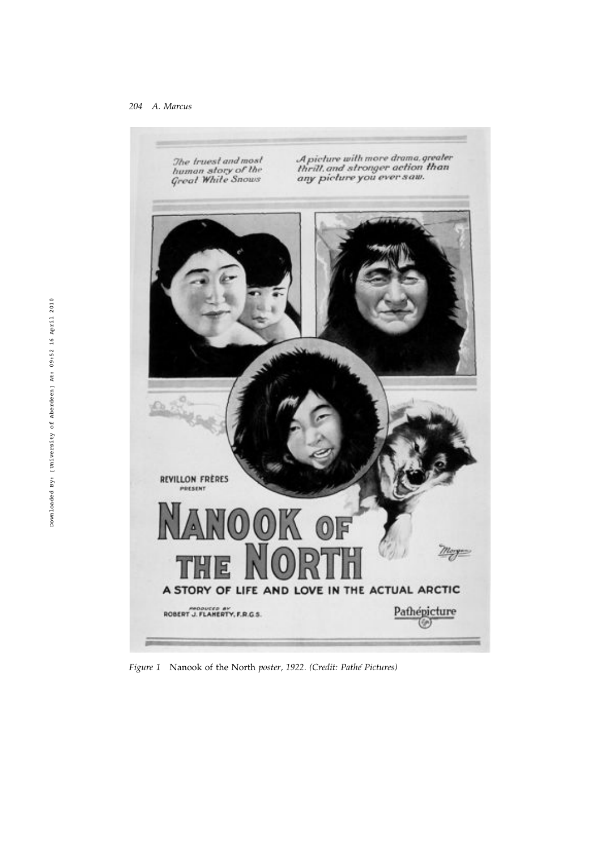

Figure 1 Nanook of the North poster, 1922. (Credit: Pathé Pictures)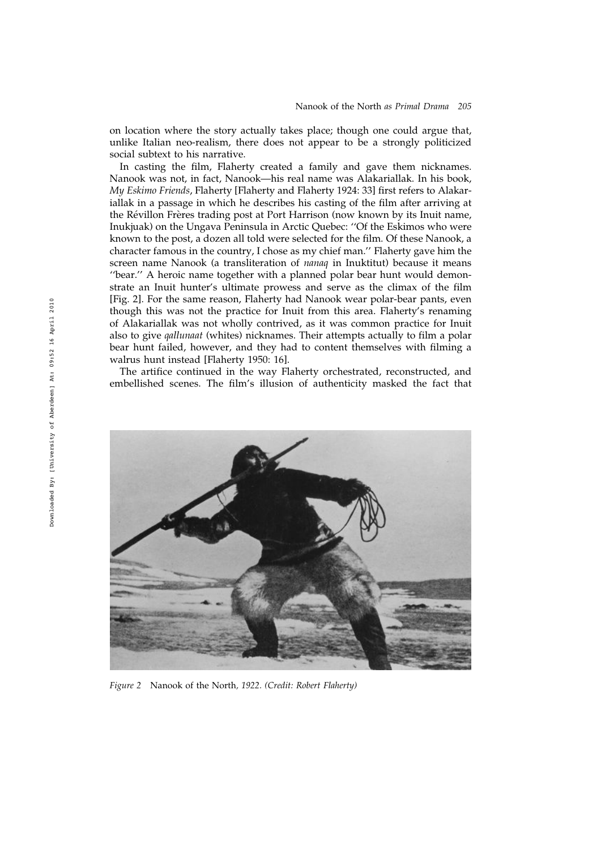on location where the story actually takes place; though one could argue that, unlike Italian neo-realism, there does not appear to be a strongly politicized social subtext to his narrative.

In casting the film, Flaherty created a family and gave them nicknames. Nanook was not, in fact, Nanook—his real name was Alakariallak. In his book, My Eskimo Friends, Flaherty [Flaherty and Flaherty 1924: 33] first refers to Alakariallak in a passage in which he describes his casting of the film after arriving at the Révillon Frères trading post at Port Harrison (now known by its Inuit name, Inukjuak) on the Ungava Peninsula in Arctic Quebec: ''Of the Eskimos who were known to the post, a dozen all told were selected for the film. Of these Nanook, a character famous in the country, I chose as my chief man.'' Flaherty gave him the screen name Nanook (a transliteration of *nanaq* in Inuktitut) because it means "bear." A heroic name together with a planned polar bear hunt would demonstrate an Inuit hunter's ultimate prowess and serve as the climax of the film [Fig. 2]. For the same reason, Flaherty had Nanook wear polar-bear pants, even though this was not the practice for Inuit from this area. Flaherty's renaming of Alakariallak was not wholly contrived, as it was common practice for Inuit also to give *qallunaat* (whites) nicknames. Their attempts actually to film a polar bear hunt failed, however, and they had to content themselves with filming a walrus hunt instead [Flaherty 1950: 16].

The artifice continued in the way Flaherty orchestrated, reconstructed, and embellished scenes. The film's illusion of authenticity masked the fact that



Figure 2 Nanook of the North, 1922. (Credit: Robert Flaherty)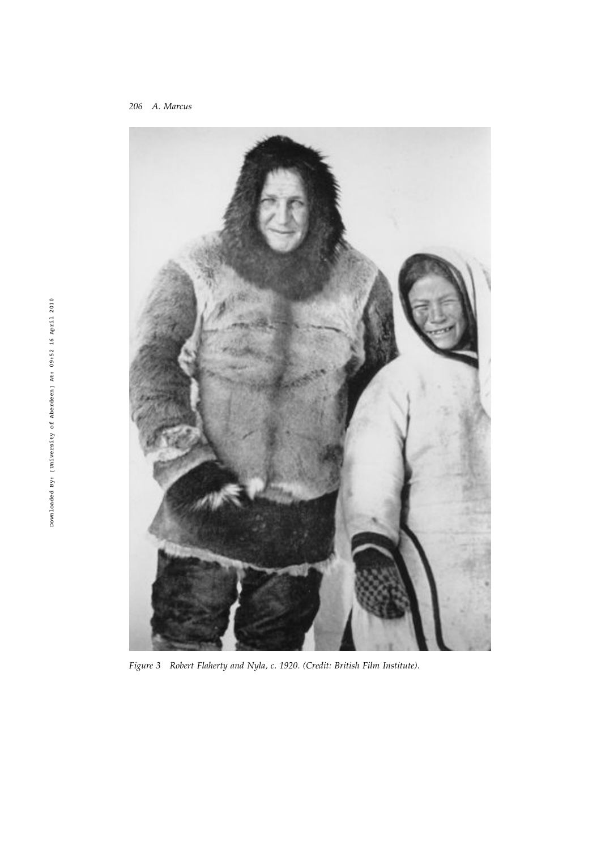206 A. Marcus



Figure 3 Robert Flaherty and Nyla, c. 1920. (Credit: British Film Institute).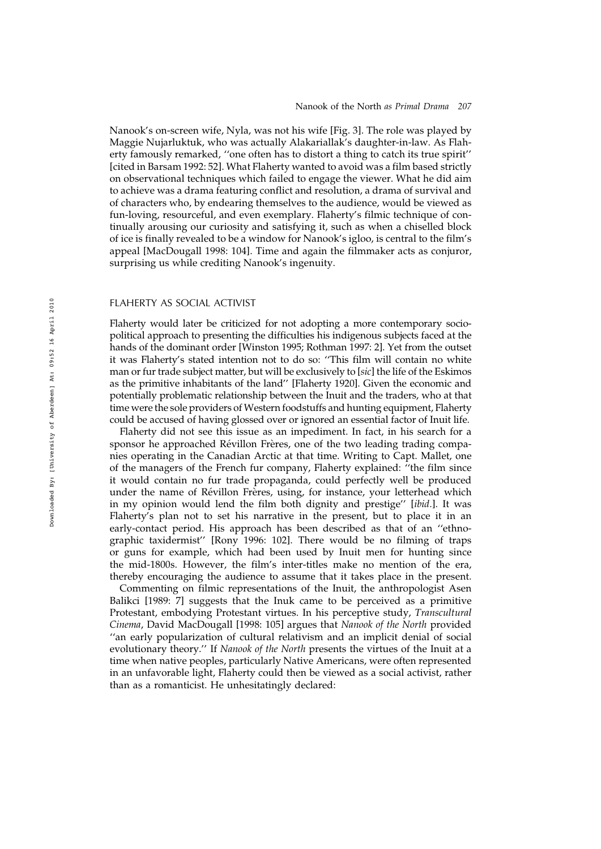Nanook's on-screen wife, Nyla, was not his wife [Fig. 3]. The role was played by Maggie Nujarluktuk, who was actually Alakariallak's daughter-in-law. As Flaherty famously remarked, ''one often has to distort a thing to catch its true spirit'' [cited in Barsam 1992: 52]. What Flaherty wanted to avoid was a film based strictly on observational techniques which failed to engage the viewer. What he did aim to achieve was a drama featuring conflict and resolution, a drama of survival and of characters who, by endearing themselves to the audience, would be viewed as fun-loving, resourceful, and even exemplary. Flaherty's filmic technique of continually arousing our curiosity and satisfying it, such as when a chiselled block of ice is finally revealed to be a window for Nanook's igloo, is central to the film's appeal [MacDougall 1998: 104]. Time and again the filmmaker acts as conjuror, surprising us while crediting Nanook's ingenuity.

# FLAHERTY AS SOCIAL ACTIVIST

Flaherty would later be criticized for not adopting a more contemporary sociopolitical approach to presenting the difficulties his indigenous subjects faced at the hands of the dominant order [Winston 1995; Rothman 1997: 2]. Yet from the outset it was Flaherty's stated intention not to do so: ''This film will contain no white man or fur trade subject matter, but will be exclusively to [sic] the life of the Eskimos as the primitive inhabitants of the land'' [Flaherty 1920]. Given the economic and potentially problematic relationship between the Inuit and the traders, who at that time were the sole providers of Western foodstuffs and hunting equipment, Flaherty could be accused of having glossed over or ignored an essential factor of Inuit life.

Flaherty did not see this issue as an impediment. In fact, in his search for a sponsor he approached Révillon Frères, one of the two leading trading companies operating in the Canadian Arctic at that time. Writing to Capt. Mallet, one of the managers of the French fur company, Flaherty explained: ''the film since it would contain no fur trade propaganda, could perfectly well be produced under the name of Révillon Frères, using, for instance, your letterhead which in my opinion would lend the film both dignity and prestige'' [ibid.]. It was Flaherty's plan not to set his narrative in the present, but to place it in an early-contact period. His approach has been described as that of an "ethnographic taxidermist'' [Rony 1996: 102]. There would be no filming of traps or guns for example, which had been used by Inuit men for hunting since the mid-1800s. However, the film's inter-titles make no mention of the era, thereby encouraging the audience to assume that it takes place in the present.

Commenting on filmic representations of the Inuit, the anthropologist Asen Balikci [1989: 7] suggests that the Inuk came to be perceived as a primitive Protestant, embodying Protestant virtues. In his perceptive study, Transcultural Cinema, David MacDougall [1998: 105] argues that Nanook of the North provided ''an early popularization of cultural relativism and an implicit denial of social evolutionary theory.'' If Nanook of the North presents the virtues of the Inuit at a time when native peoples, particularly Native Americans, were often represented in an unfavorable light, Flaherty could then be viewed as a social activist, rather than as a romanticist. He unhesitatingly declared: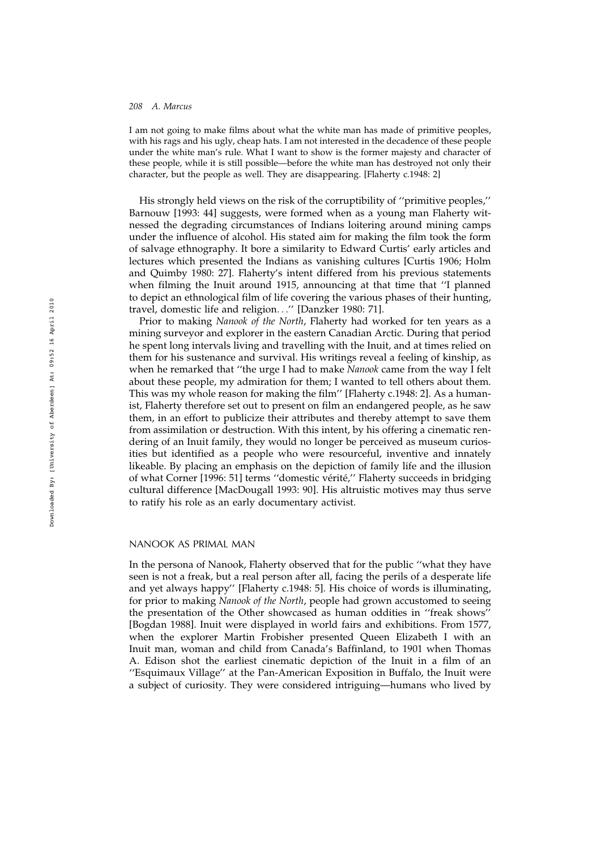I am not going to make films about what the white man has made of primitive peoples, with his rags and his ugly, cheap hats. I am not interested in the decadence of these people under the white man's rule. What I want to show is the former majesty and character of these people, while it is still possible—before the white man has destroyed not only their character, but the people as well. They are disappearing. [Flaherty c.1948: 2]

His strongly held views on the risk of the corruptibility of ''primitive peoples,'' Barnouw [1993: 44] suggests, were formed when as a young man Flaherty witnessed the degrading circumstances of Indians loitering around mining camps under the influence of alcohol. His stated aim for making the film took the form of salvage ethnography. It bore a similarity to Edward Curtis' early articles and lectures which presented the Indians as vanishing cultures [Curtis 1906; Holm and Quimby 1980: 27]. Flaherty's intent differed from his previous statements when filming the Inuit around 1915, announcing at that time that ''I planned to depict an ethnological film of life covering the various phases of their hunting, travel, domestic life and religion...'' [Danzker 1980: 71].

Prior to making Nanook of the North, Flaherty had worked for ten years as a mining surveyor and explorer in the eastern Canadian Arctic. During that period he spent long intervals living and travelling with the Inuit, and at times relied on them for his sustenance and survival. His writings reveal a feeling of kinship, as when he remarked that "the urge I had to make Nanook came from the way I felt about these people, my admiration for them; I wanted to tell others about them. This was my whole reason for making the film'' [Flaherty c.1948: 2]. As a humanist, Flaherty therefore set out to present on film an endangered people, as he saw them, in an effort to publicize their attributes and thereby attempt to save them from assimilation or destruction. With this intent, by his offering a cinematic rendering of an Inuit family, they would no longer be perceived as museum curiosities but identified as a people who were resourceful, inventive and innately likeable. By placing an emphasis on the depiction of family life and the illusion of what Corner [1996: 51] terms "domestic vérité," Flaherty succeeds in bridging cultural difference [MacDougall 1993: 90]. His altruistic motives may thus serve to ratify his role as an early documentary activist.

#### NANOOK AS PRIMAL MAN

In the persona of Nanook, Flaherty observed that for the public ''what they have seen is not a freak, but a real person after all, facing the perils of a desperate life and yet always happy'' [Flaherty c.1948: 5]. His choice of words is illuminating, for prior to making Nanook of the North, people had grown accustomed to seeing the presentation of the Other showcased as human oddities in ''freak shows'' [Bogdan 1988]. Inuit were displayed in world fairs and exhibitions. From 1577, when the explorer Martin Frobisher presented Queen Elizabeth I with an Inuit man, woman and child from Canada's Baffinland, to 1901 when Thomas A. Edison shot the earliest cinematic depiction of the Inuit in a film of an ''Esquimaux Village'' at the Pan-American Exposition in Buffalo, the Inuit were a subject of curiosity. They were considered intriguing—humans who lived by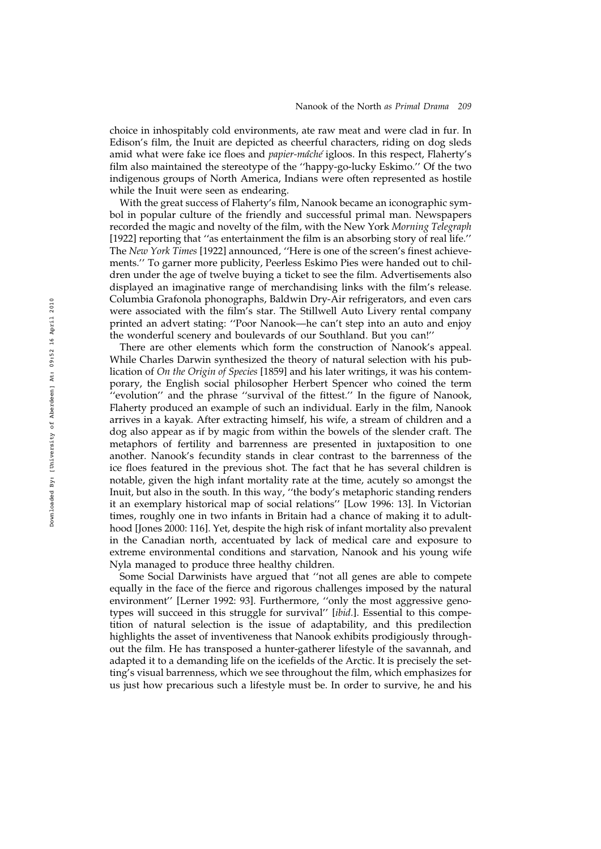choice in inhospitably cold environments, ate raw meat and were clad in fur. In Edison's film, the Inuit are depicted as cheerful characters, riding on dog sleds amid what were fake ice floes and *papier-mâché* igloos. In this respect, Flaherty's film also maintained the stereotype of the ''happy-go-lucky Eskimo.'' Of the two indigenous groups of North America, Indians were often represented as hostile while the Inuit were seen as endearing.

With the great success of Flaherty's film, Nanook became an iconographic symbol in popular culture of the friendly and successful primal man. Newspapers recorded the magic and novelty of the film, with the New York Morning Telegraph [1922] reporting that "as entertainment the film is an absorbing story of real life." The New York Times [1922] announced, ''Here is one of the screen's finest achievements.'' To garner more publicity, Peerless Eskimo Pies were handed out to children under the age of twelve buying a ticket to see the film. Advertisements also displayed an imaginative range of merchandising links with the film's release. Columbia Grafonola phonographs, Baldwin Dry-Air refrigerators, and even cars were associated with the film's star. The Stillwell Auto Livery rental company printed an advert stating: ''Poor Nanook—he can't step into an auto and enjoy the wonderful scenery and boulevards of our Southland. But you can!''

There are other elements which form the construction of Nanook's appeal. While Charles Darwin synthesized the theory of natural selection with his publication of On the Origin of Species [1859] and his later writings, it was his contemporary, the English social philosopher Herbert Spencer who coined the term "evolution" and the phrase "survival of the fittest." In the figure of Nanook, Flaherty produced an example of such an individual. Early in the film, Nanook arrives in a kayak. After extracting himself, his wife, a stream of children and a dog also appear as if by magic from within the bowels of the slender craft. The metaphors of fertility and barrenness are presented in juxtaposition to one another. Nanook's fecundity stands in clear contrast to the barrenness of the ice floes featured in the previous shot. The fact that he has several children is notable, given the high infant mortality rate at the time, acutely so amongst the Inuit, but also in the south. In this way, ''the body's metaphoric standing renders it an exemplary historical map of social relations'' [Low 1996: 13]. In Victorian times, roughly one in two infants in Britain had a chance of making it to adulthood [Jones 2000: 116]. Yet, despite the high risk of infant mortality also prevalent in the Canadian north, accentuated by lack of medical care and exposure to extreme environmental conditions and starvation, Nanook and his young wife Nyla managed to produce three healthy children.

Some Social Darwinists have argued that ''not all genes are able to compete equally in the face of the fierce and rigorous challenges imposed by the natural environment'' [Lerner 1992: 93]. Furthermore, ''only the most aggressive genotypes will succeed in this struggle for survival'' [ibid.]. Essential to this competition of natural selection is the issue of adaptability, and this predilection highlights the asset of inventiveness that Nanook exhibits prodigiously throughout the film. He has transposed a hunter-gatherer lifestyle of the savannah, and adapted it to a demanding life on the icefields of the Arctic. It is precisely the setting's visual barrenness, which we see throughout the film, which emphasizes for us just how precarious such a lifestyle must be. In order to survive, he and his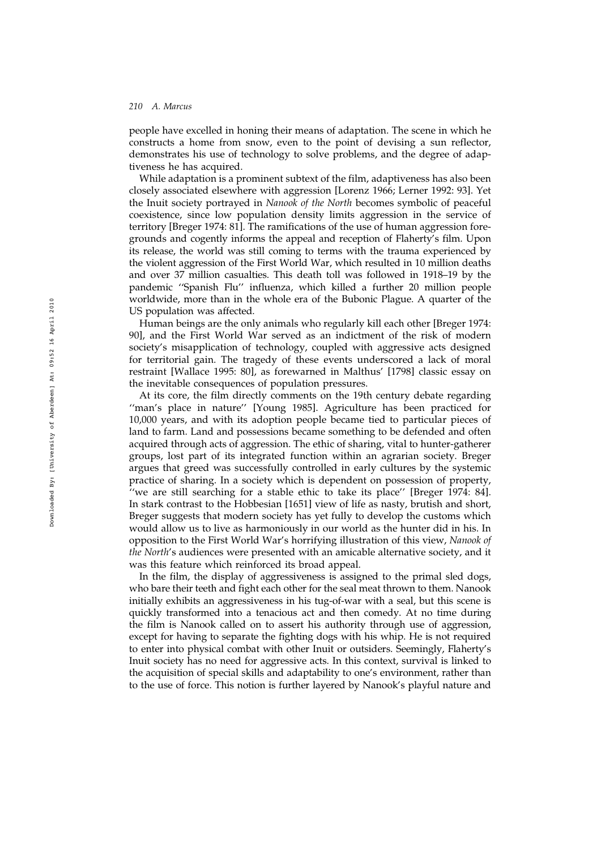people have excelled in honing their means of adaptation. The scene in which he constructs a home from snow, even to the point of devising a sun reflector, demonstrates his use of technology to solve problems, and the degree of adaptiveness he has acquired.

While adaptation is a prominent subtext of the film, adaptiveness has also been closely associated elsewhere with aggression [Lorenz 1966; Lerner 1992: 93]. Yet the Inuit society portrayed in Nanook of the North becomes symbolic of peaceful coexistence, since low population density limits aggression in the service of territory [Breger 1974: 81]. The ramifications of the use of human aggression foregrounds and cogently informs the appeal and reception of Flaherty's film. Upon its release, the world was still coming to terms with the trauma experienced by the violent aggression of the First World War, which resulted in 10 million deaths and over 37 million casualties. This death toll was followed in 1918–19 by the pandemic ''Spanish Flu'' influenza, which killed a further 20 million people worldwide, more than in the whole era of the Bubonic Plague. A quarter of the US population was affected.

Human beings are the only animals who regularly kill each other [Breger 1974: 90], and the First World War served as an indictment of the risk of modern society's misapplication of technology, coupled with aggressive acts designed for territorial gain. The tragedy of these events underscored a lack of moral restraint [Wallace 1995: 80], as forewarned in Malthus' [1798] classic essay on the inevitable consequences of population pressures.

At its core, the film directly comments on the 19th century debate regarding "man's place in nature" [Young 1985]. Agriculture has been practiced for 10,000 years, and with its adoption people became tied to particular pieces of land to farm. Land and possessions became something to be defended and often acquired through acts of aggression. The ethic of sharing, vital to hunter-gatherer groups, lost part of its integrated function within an agrarian society. Breger argues that greed was successfully controlled in early cultures by the systemic practice of sharing. In a society which is dependent on possession of property, ''we are still searching for a stable ethic to take its place'' [Breger 1974: 84]. In stark contrast to the Hobbesian [1651] view of life as nasty, brutish and short, Breger suggests that modern society has yet fully to develop the customs which would allow us to live as harmoniously in our world as the hunter did in his. In opposition to the First World War's horrifying illustration of this view, Nanook of the North's audiences were presented with an amicable alternative society, and it was this feature which reinforced its broad appeal.

In the film, the display of aggressiveness is assigned to the primal sled dogs, who bare their teeth and fight each other for the seal meat thrown to them. Nanook initially exhibits an aggressiveness in his tug-of-war with a seal, but this scene is quickly transformed into a tenacious act and then comedy. At no time during the film is Nanook called on to assert his authority through use of aggression, except for having to separate the fighting dogs with his whip. He is not required to enter into physical combat with other Inuit or outsiders. Seemingly, Flaherty's Inuit society has no need for aggressive acts. In this context, survival is linked to the acquisition of special skills and adaptability to one's environment, rather than to the use of force. This notion is further layered by Nanook's playful nature and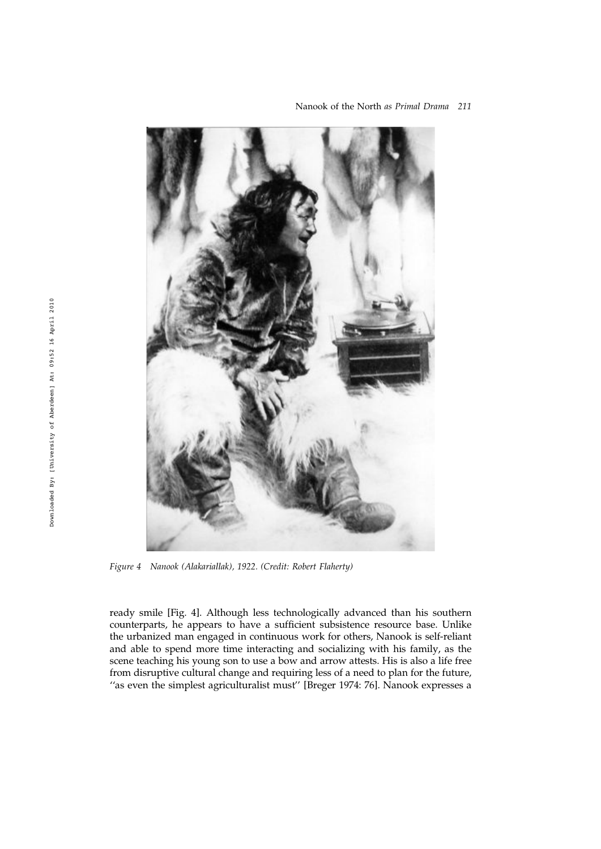

Nanook of the North as Primal Drama 211

Figure 4 Nanook (Alakariallak), 1922. (Credit: Robert Flaherty)

ready smile [Fig. 4]. Although less technologically advanced than his southern counterparts, he appears to have a sufficient subsistence resource base. Unlike the urbanized man engaged in continuous work for others, Nanook is self-reliant and able to spend more time interacting and socializing with his family, as the scene teaching his young son to use a bow and arrow attests. His is also a life free from disruptive cultural change and requiring less of a need to plan for the future, "as even the simplest agriculturalist must" [Breger 1974: 76]. Nanook expresses a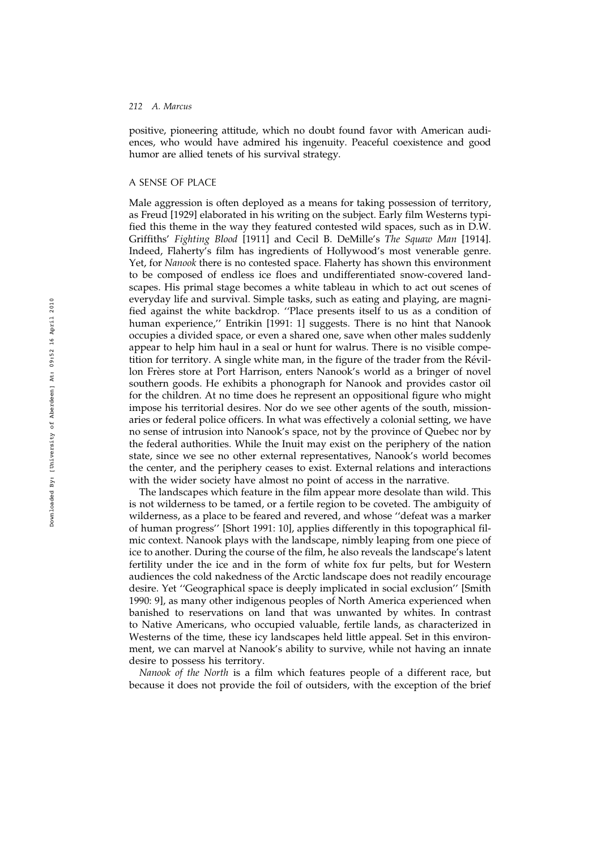positive, pioneering attitude, which no doubt found favor with American audiences, who would have admired his ingenuity. Peaceful coexistence and good humor are allied tenets of his survival strategy.

## A SENSE OF PLACE

Male aggression is often deployed as a means for taking possession of territory, as Freud [1929] elaborated in his writing on the subject. Early film Westerns typified this theme in the way they featured contested wild spaces, such as in D.W. Griffiths' Fighting Blood [1911] and Cecil B. DeMille's The Squaw Man [1914]. Indeed, Flaherty's film has ingredients of Hollywood's most venerable genre. Yet, for Nanook there is no contested space. Flaherty has shown this environment to be composed of endless ice floes and undifferentiated snow-covered landscapes. His primal stage becomes a white tableau in which to act out scenes of everyday life and survival. Simple tasks, such as eating and playing, are magnified against the white backdrop. ''Place presents itself to us as a condition of human experience," Entrikin [1991: 1] suggests. There is no hint that Nanook occupies a divided space, or even a shared one, save when other males suddenly appear to help him haul in a seal or hunt for walrus. There is no visible competition for territory. A single white man, in the figure of the trader from the Révillon Frères store at Port Harrison, enters Nanook's world as a bringer of novel southern goods. He exhibits a phonograph for Nanook and provides castor oil for the children. At no time does he represent an oppositional figure who might impose his territorial desires. Nor do we see other agents of the south, missionaries or federal police officers. In what was effectively a colonial setting, we have no sense of intrusion into Nanook's space, not by the province of Quebec nor by the federal authorities. While the Inuit may exist on the periphery of the nation state, since we see no other external representatives, Nanook's world becomes the center, and the periphery ceases to exist. External relations and interactions with the wider society have almost no point of access in the narrative.

The landscapes which feature in the film appear more desolate than wild. This is not wilderness to be tamed, or a fertile region to be coveted. The ambiguity of wilderness, as a place to be feared and revered, and whose ''defeat was a marker of human progress'' [Short 1991: 10], applies differently in this topographical filmic context. Nanook plays with the landscape, nimbly leaping from one piece of ice to another. During the course of the film, he also reveals the landscape's latent fertility under the ice and in the form of white fox fur pelts, but for Western audiences the cold nakedness of the Arctic landscape does not readily encourage desire. Yet ''Geographical space is deeply implicated in social exclusion'' [Smith 1990: 9], as many other indigenous peoples of North America experienced when banished to reservations on land that was unwanted by whites. In contrast to Native Americans, who occupied valuable, fertile lands, as characterized in Westerns of the time, these icy landscapes held little appeal. Set in this environment, we can marvel at Nanook's ability to survive, while not having an innate desire to possess his territory.

Nanook of the North is a film which features people of a different race, but because it does not provide the foil of outsiders, with the exception of the brief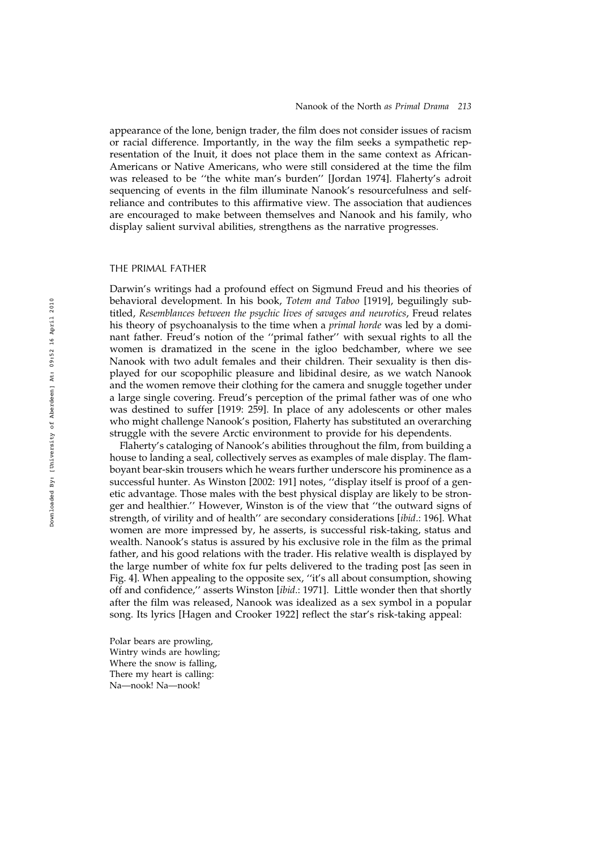appearance of the lone, benign trader, the film does not consider issues of racism or racial difference. Importantly, in the way the film seeks a sympathetic representation of the Inuit, it does not place them in the same context as African-Americans or Native Americans, who were still considered at the time the film was released to be ''the white man's burden'' [Jordan 1974]. Flaherty's adroit sequencing of events in the film illuminate Nanook's resourcefulness and selfreliance and contributes to this affirmative view. The association that audiences are encouraged to make between themselves and Nanook and his family, who display salient survival abilities, strengthens as the narrative progresses.

#### THE PRIMAL FATHER

Darwin's writings had a profound effect on Sigmund Freud and his theories of behavioral development. In his book, Totem and Taboo [1919], beguilingly subtitled, Resemblances between the psychic lives of savages and neurotics, Freud relates his theory of psychoanalysis to the time when a primal horde was led by a dominant father. Freud's notion of the ''primal father'' with sexual rights to all the women is dramatized in the scene in the igloo bedchamber, where we see Nanook with two adult females and their children. Their sexuality is then displayed for our scopophilic pleasure and libidinal desire, as we watch Nanook and the women remove their clothing for the camera and snuggle together under a large single covering. Freud's perception of the primal father was of one who was destined to suffer [1919: 259]. In place of any adolescents or other males who might challenge Nanook's position, Flaherty has substituted an overarching struggle with the severe Arctic environment to provide for his dependents.

Flaherty's cataloging of Nanook's abilities throughout the film, from building a house to landing a seal, collectively serves as examples of male display. The flamboyant bear-skin trousers which he wears further underscore his prominence as a successful hunter. As Winston [2002: 191] notes, ''display itself is proof of a genetic advantage. Those males with the best physical display are likely to be stronger and healthier.'' However, Winston is of the view that ''the outward signs of strength, of virility and of health'' are secondary considerations [ibid.: 196]. What women are more impressed by, he asserts, is successful risk-taking, status and wealth. Nanook's status is assured by his exclusive role in the film as the primal father, and his good relations with the trader. His relative wealth is displayed by the large number of white fox fur pelts delivered to the trading post [as seen in Fig. 4]. When appealing to the opposite sex, ''it's all about consumption, showing off and confidence,'' asserts Winston [ibid.: 1971]. Little wonder then that shortly after the film was released, Nanook was idealized as a sex symbol in a popular song. Its lyrics [Hagen and Crooker 1922] reflect the star's risk-taking appeal:

Polar bears are prowling, Wintry winds are howling; Where the snow is falling, There my heart is calling: Na—nook! Na—nook!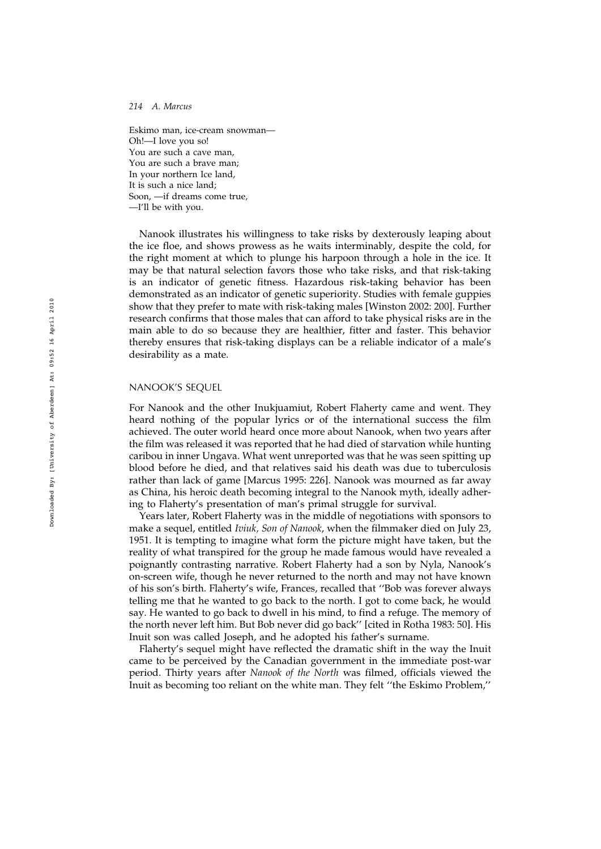Eskimo man, ice-cream snowman— Oh!—I love you so! You are such a cave man, You are such a brave man; In your northern Ice land, It is such a nice land; Soon, —if dreams come true, —I'll be with you.

Nanook illustrates his willingness to take risks by dexterously leaping about the ice floe, and shows prowess as he waits interminably, despite the cold, for the right moment at which to plunge his harpoon through a hole in the ice. It may be that natural selection favors those who take risks, and that risk-taking is an indicator of genetic fitness. Hazardous risk-taking behavior has been demonstrated as an indicator of genetic superiority. Studies with female guppies show that they prefer to mate with risk-taking males [Winston 2002: 200]. Further research confirms that those males that can afford to take physical risks are in the main able to do so because they are healthier, fitter and faster. This behavior thereby ensures that risk-taking displays can be a reliable indicator of a male's desirability as a mate.

## NANOOK'S SEQUEL

For Nanook and the other Inukjuamiut, Robert Flaherty came and went. They heard nothing of the popular lyrics or of the international success the film achieved. The outer world heard once more about Nanook, when two years after the film was released it was reported that he had died of starvation while hunting caribou in inner Ungava. What went unreported was that he was seen spitting up blood before he died, and that relatives said his death was due to tuberculosis rather than lack of game [Marcus 1995: 226]. Nanook was mourned as far away as China, his heroic death becoming integral to the Nanook myth, ideally adhering to Flaherty's presentation of man's primal struggle for survival.

Years later, Robert Flaherty was in the middle of negotiations with sponsors to make a sequel, entitled Iviuk, Son of Nanook, when the filmmaker died on July 23, 1951. It is tempting to imagine what form the picture might have taken, but the reality of what transpired for the group he made famous would have revealed a poignantly contrasting narrative. Robert Flaherty had a son by Nyla, Nanook's on-screen wife, though he never returned to the north and may not have known of his son's birth. Flaherty's wife, Frances, recalled that ''Bob was forever always telling me that he wanted to go back to the north. I got to come back, he would say. He wanted to go back to dwell in his mind, to find a refuge. The memory of the north never left him. But Bob never did go back'' [cited in Rotha 1983: 50]. His Inuit son was called Joseph, and he adopted his father's surname.

Flaherty's sequel might have reflected the dramatic shift in the way the Inuit came to be perceived by the Canadian government in the immediate post-war period. Thirty years after Nanook of the North was filmed, officials viewed the Inuit as becoming too reliant on the white man. They felt ''the Eskimo Problem,''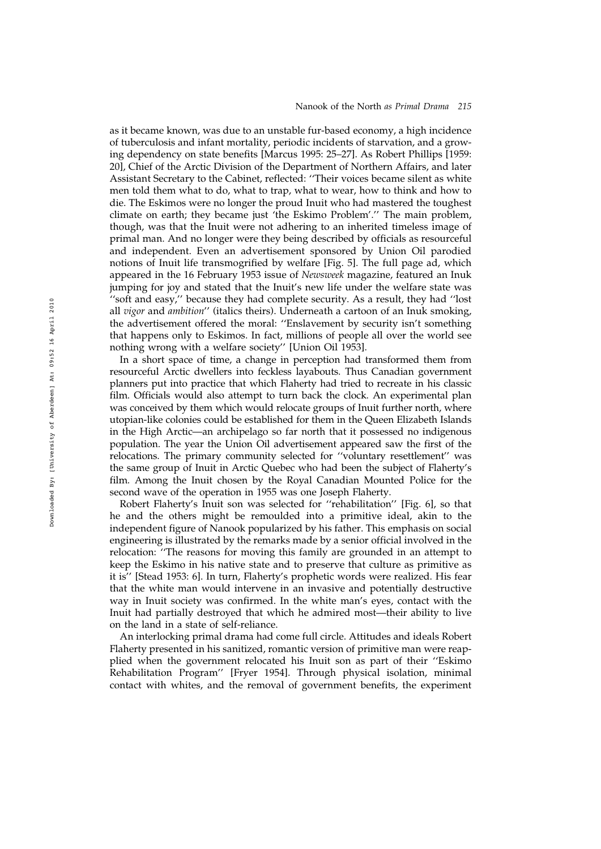as it became known, was due to an unstable fur-based economy, a high incidence of tuberculosis and infant mortality, periodic incidents of starvation, and a growing dependency on state benefits [Marcus 1995: 25–27]. As Robert Phillips [1959: 20], Chief of the Arctic Division of the Department of Northern Affairs, and later Assistant Secretary to the Cabinet, reflected: ''Their voices became silent as white men told them what to do, what to trap, what to wear, how to think and how to die. The Eskimos were no longer the proud Inuit who had mastered the toughest climate on earth; they became just 'the Eskimo Problem'.'' The main problem, though, was that the Inuit were not adhering to an inherited timeless image of primal man. And no longer were they being described by officials as resourceful and independent. Even an advertisement sponsored by Union Oil parodied notions of Inuit life transmogrified by welfare [Fig. 5]. The full page ad, which appeared in the 16 February 1953 issue of Newsweek magazine, featured an Inuk jumping for joy and stated that the Inuit's new life under the welfare state was ''soft and easy,'' because they had complete security. As a result, they had ''lost all vigor and ambition'' (italics theirs). Underneath a cartoon of an Inuk smoking, the advertisement offered the moral: ''Enslavement by security isn't something that happens only to Eskimos. In fact, millions of people all over the world see nothing wrong with a welfare society'' [Union Oil 1953].

In a short space of time, a change in perception had transformed them from resourceful Arctic dwellers into feckless layabouts. Thus Canadian government planners put into practice that which Flaherty had tried to recreate in his classic film. Officials would also attempt to turn back the clock. An experimental plan was conceived by them which would relocate groups of Inuit further north, where utopian-like colonies could be established for them in the Queen Elizabeth Islands in the High Arctic—an archipelago so far north that it possessed no indigenous population. The year the Union Oil advertisement appeared saw the first of the relocations. The primary community selected for ''voluntary resettlement'' was the same group of Inuit in Arctic Quebec who had been the subject of Flaherty's film. Among the Inuit chosen by the Royal Canadian Mounted Police for the second wave of the operation in 1955 was one Joseph Flaherty.

Robert Flaherty's Inuit son was selected for ''rehabilitation'' [Fig. 6], so that he and the others might be remoulded into a primitive ideal, akin to the independent figure of Nanook popularized by his father. This emphasis on social engineering is illustrated by the remarks made by a senior official involved in the relocation: ''The reasons for moving this family are grounded in an attempt to keep the Eskimo in his native state and to preserve that culture as primitive as it is'' [Stead 1953: 6]. In turn, Flaherty's prophetic words were realized. His fear that the white man would intervene in an invasive and potentially destructive way in Inuit society was confirmed. In the white man's eyes, contact with the Inuit had partially destroyed that which he admired most—their ability to live on the land in a state of self-reliance.

An interlocking primal drama had come full circle. Attitudes and ideals Robert Flaherty presented in his sanitized, romantic version of primitive man were reapplied when the government relocated his Inuit son as part of their ''Eskimo Rehabilitation Program'' [Fryer 1954]. Through physical isolation, minimal contact with whites, and the removal of government benefits, the experiment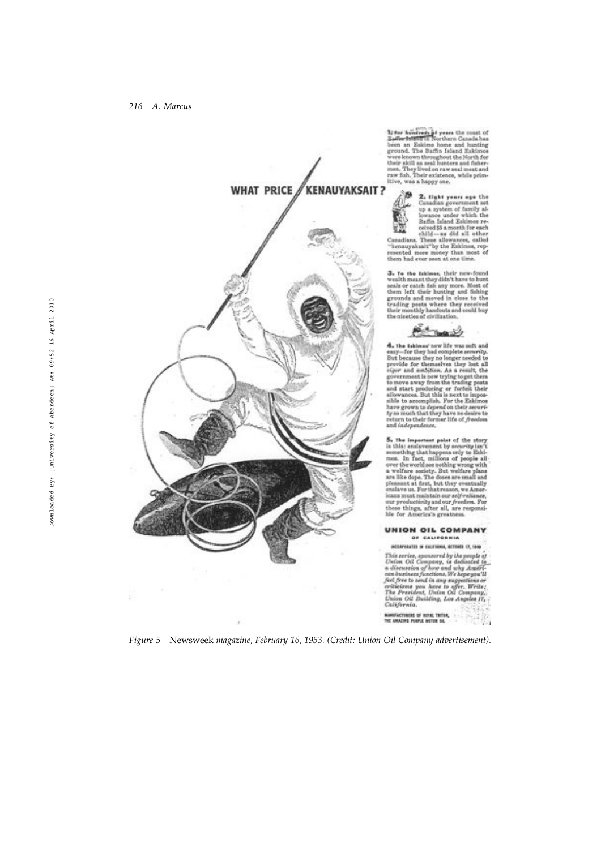

Li for hondreds of years the coast of<br>Baffer Isistem in Northern Canada has<br>been an Eakimo home and hunting<br>ground. The Baffin Island Eakimos ground. The main stand and an<br>according to the Sorth for their skill as seal hunters and fisher-<br>men. They lived on raw and mask and<br>raw fish, Their existence, while primitive, was a happy one,



 $\begin{tabular}{|c|c|} \hline\hline\bf 2. light years age the  
Canalias government net  
up a system of family al-  
by a system of family all  
the low-ance under which the  
Baffin island Eakimos re-  
e-  
quivalant. These allovers, called  
the calculation are called all other  
Chendians. These allswances, called  
resented more money than most of  
them had ever near at one time. \hline \end{tabular}$ 

 ${\bf 3.}$  To the fakimes, their new-found weak<br>th meant they didn't have to hunt seals or catch fish any more. Meat of<br>the them left their hunting and fishing grounds and moved in close to the trading posts where they rece

Remark

 $\begin{tabular}{l|c|c|c} \hline \multicolumn{1}{c}{\multicolumn{1}{c}{\multicolumn{1}{c}{\multicolumn{1}{c}{\multicolumn{1}{c}{\multicolumn{1}{c}{\multicolumn{1}{c}{\multicolumn{1}{c}{\multicolumn{1}{c}{\multicolumn{1}{c}{\multicolumn{1}{c}{\multicolumn{1}{c}{\multicolumn{1}{c}{\multicolumn{1}{c}{\multicolumn{1}{c}{\multicolumn{1}{c}{\multicolumn{1}{c}{\multicolumn{1}{c}{\multicolumn{1}{c}{\multicolumn{1}{c}{\multicolumn{1}{c}{\multicolumn{1}{c}{\multicolumn{$ and independence.

 ${\bf 5}_n$  .<br>The important point of the story is this ensisvement by security in<br>a  $\chi$  is this ensisvement by security in<br>a most. In fact, raillions of people all over the world see nothing wrong with a well<br>face society.

**UNION OIL COMPANY** OF CALIFORNIA

INCORPORATED IN CALIFORNIA, INTERESE 17, 1980 scarcestra in carriers, actually the propint of This archive Context of the propint of the discussion of how and why American changes are the propint of the propint of the President system and the Context of The President MANUFACTURIES OF BUYAL THTOM,<br>THE AMAZING PORPLE WOTER OIL

Figure 5 Newsweek magazine, February 16, 1953. (Credit: Union Oil Company advertisement).

ř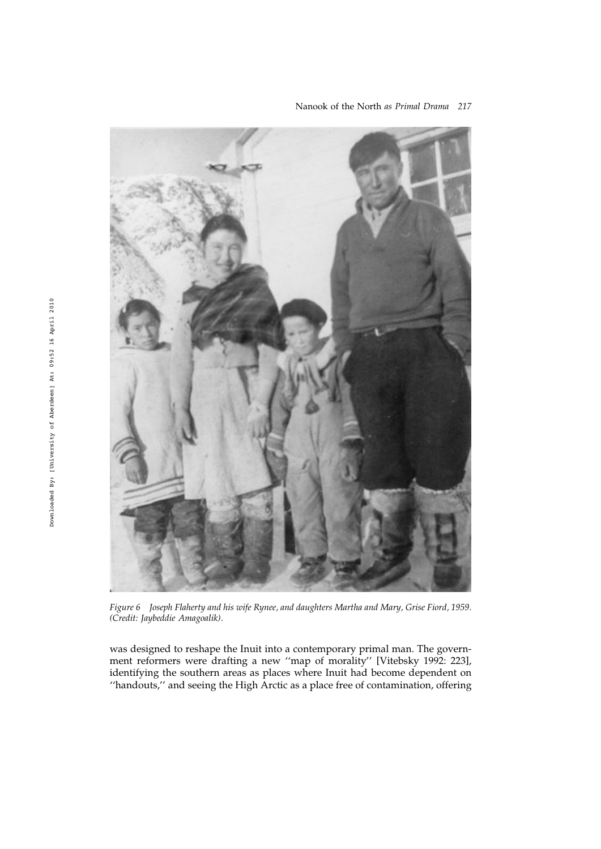

Nanook of the North as Primal Drama 217

Figure 6 Joseph Flaherty and his wife Rynee, and daughters Martha and Mary, Grise Fiord, 1959. (Credit: Jaybeddie Amagoalik).

was designed to reshape the Inuit into a contemporary primal man. The government reformers were drafting a new ''map of morality'' [Vitebsky 1992: 223], identifying the southern areas as places where Inuit had become dependent on ''handouts,'' and seeing the High Arctic as a place free of contamination, offering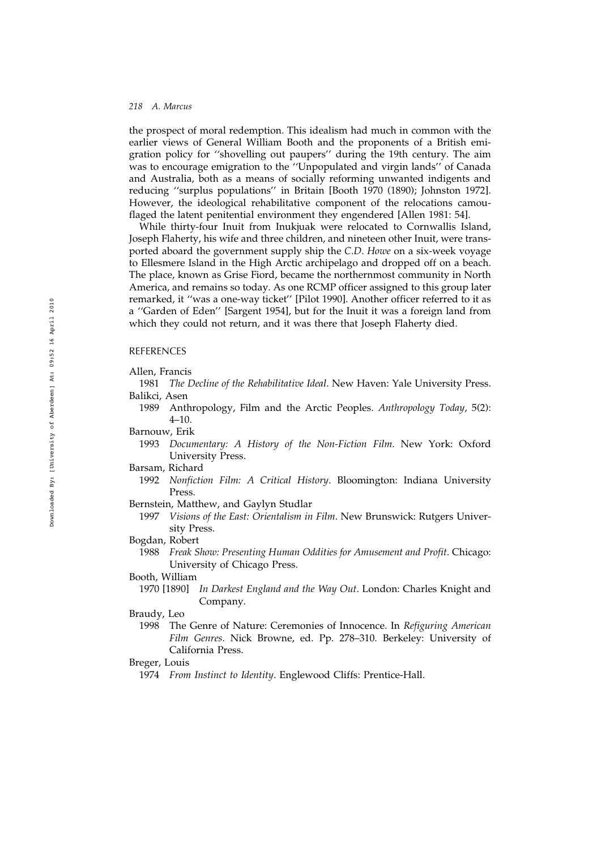the prospect of moral redemption. This idealism had much in common with the earlier views of General William Booth and the proponents of a British emigration policy for ''shovelling out paupers'' during the 19th century. The aim was to encourage emigration to the ''Unpopulated and virgin lands'' of Canada and Australia, both as a means of socially reforming unwanted indigents and reducing ''surplus populations'' in Britain [Booth 1970 (1890); Johnston 1972]. However, the ideological rehabilitative component of the relocations camouflaged the latent penitential environment they engendered [Allen 1981: 54].

While thirty-four Inuit from Inukjuak were relocated to Cornwallis Island, Joseph Flaherty, his wife and three children, and nineteen other Inuit, were transported aboard the government supply ship the C.D. Howe on a six-week voyage to Ellesmere Island in the High Arctic archipelago and dropped off on a beach. The place, known as Grise Fiord, became the northernmost community in North America, and remains so today. As one RCMP officer assigned to this group later remarked, it ''was a one-way ticket'' [Pilot 1990]. Another officer referred to it as a ''Garden of Eden'' [Sargent 1954], but for the Inuit it was a foreign land from which they could not return, and it was there that Joseph Flaherty died.

## **REFERENCES**

#### Allen, Francis

- 1981 The Decline of the Rehabilitative Ideal. New Haven: Yale University Press. Balikci, Asen
	- 1989 Anthropology, Film and the Arctic Peoples. Anthropology Today, 5(2): 4–10.
- Barnouw, Erik
	- 1993 Documentary: A History of the Non-Fiction Film. New York: Oxford University Press.
- Barsam, Richard
	- 1992 Nonfiction Film: A Critical History. Bloomington: Indiana University Press.
- Bernstein, Matthew, and Gaylyn Studlar
	- 1997 Visions of the East: Orientalism in Film. New Brunswick: Rutgers University Press.
- Bogdan, Robert
	- 1988 Freak Show: Presenting Human Oddities for Amusement and Profit. Chicago: University of Chicago Press.

#### Booth, William

1970 [1890] In Darkest England and the Way Out. London: Charles Knight and Company.

# Braudy, Leo

1998 The Genre of Nature: Ceremonies of Innocence. In Refiguring American Film Genres. Nick Browne, ed. Pp. 278–310. Berkeley: University of California Press.

## Breger, Louis

1974 From Instinct to Identity. Englewood Cliffs: Prentice-Hall.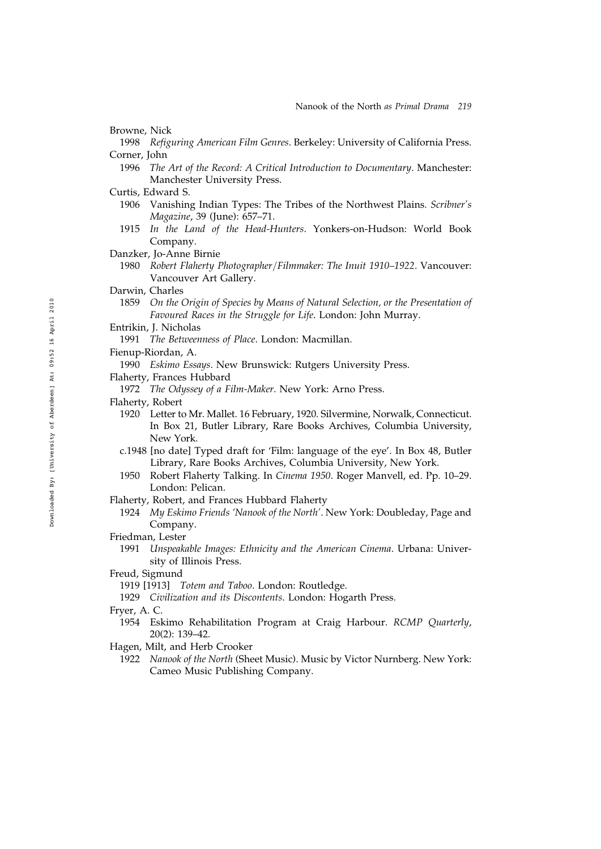Browne, Nick

- 1998 Refiguring American Film Genres. Berkeley: University of California Press. Corner, John
	- 1996 The Art of the Record: A Critical Introduction to Documentary. Manchester: Manchester University Press.
- Curtis, Edward S.
	- 1906 Vanishing Indian Types: The Tribes of the Northwest Plains. Scribner's Magazine, 39 (June): 657–71.
	- 1915 In the Land of the Head-Hunters. Yonkers-on-Hudson: World Book Company.
- Danzker, Jo-Anne Birnie
	- 1980 Robert Flaherty Photographer/Filmmaker: The Inuit 1910–1922. Vancouver: Vancouver Art Gallery.
- Darwin, Charles
	- 1859 On the Origin of Species by Means of Natural Selection, or the Presentation of Favoured Races in the Struggle for Life. London: John Murray.
- Entrikin, J. Nicholas
	- 1991 The Betweenness of Place. London: Macmillan.
- Fienup-Riordan, A.
	- 1990 Eskimo Essays. New Brunswick: Rutgers University Press.
- Flaherty, Frances Hubbard
	- 1972 The Odyssey of a Film-Maker. New York: Arno Press.
- Flaherty, Robert
	- 1920 Letter to Mr. Mallet. 16 February, 1920. Silvermine, Norwalk, Connecticut. In Box 21, Butler Library, Rare Books Archives, Columbia University, New York.
	- c.1948 [no date] Typed draft for 'Film: language of the eye'. In Box 48, Butler Library, Rare Books Archives, Columbia University, New York.
	- 1950 Robert Flaherty Talking. In Cinema 1950. Roger Manvell, ed. Pp. 10–29. London: Pelican.
- Flaherty, Robert, and Frances Hubbard Flaherty
	- 1924 My Eskimo Friends 'Nanook of the North'. New York: Doubleday, Page and Company.
- Friedman, Lester
	- 1991 Unspeakable Images: Ethnicity and the American Cinema. Urbana: University of Illinois Press.
- Freud, Sigmund
	- 1919 [1913] Totem and Taboo. London: Routledge.
	- 1929 Civilization and its Discontents. London: Hogarth Press.
- Fryer, A. C.
	- 1954 Eskimo Rehabilitation Program at Craig Harbour. RCMP Quarterly, 20(2): 139–42.
- Hagen, Milt, and Herb Crooker
	- 1922 Nanook of the North (Sheet Music). Music by Victor Nurnberg. New York: Cameo Music Publishing Company.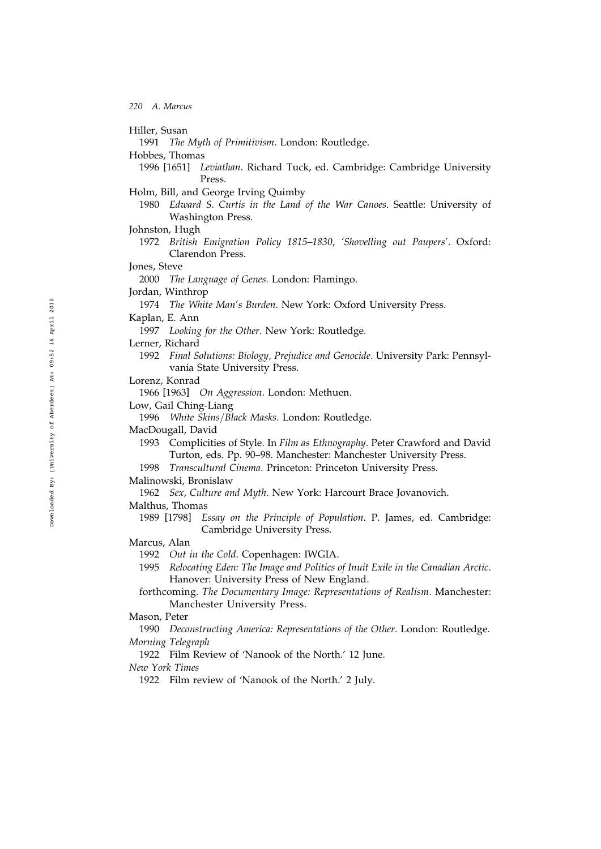Hiller, Susan

1991 The Myth of Primitivism. London: Routledge.

Hobbes, Thomas

- 1996 [1651] Leviathan. Richard Tuck, ed. Cambridge: Cambridge University Press.
- Holm, Bill, and George Irving Quimby
	- 1980 Edward S. Curtis in the Land of the War Canoes. Seattle: University of Washington Press.
- Johnston, Hugh
	- 1972 British Emigration Policy 1815–1830, 'Shovelling out Paupers'. Oxford: Clarendon Press.
- Jones, Steve

2000 The Language of Genes. London: Flamingo.

- Jordan, Winthrop
	- 1974 The White Man's Burden. New York: Oxford University Press.
- Kaplan, E. Ann
	- 1997 Looking for the Other. New York: Routledge.

Lerner, Richard

- 1992 Final Solutions: Biology, Prejudice and Genocide. University Park: Pennsylvania State University Press.
- Lorenz, Konrad

1966 [1963] On Aggression. London: Methuen.

Low, Gail Ching-Liang

1996 White Skins/Black Masks. London: Routledge.

- MacDougall, David
	- 1993 Complicities of Style. In Film as Ethnography. Peter Crawford and David Turton, eds. Pp. 90–98. Manchester: Manchester University Press.
	- 1998 Transcultural Cinema. Princeton: Princeton University Press.

Malinowski, Bronislaw

- 1962 Sex, Culture and Myth. New York: Harcourt Brace Jovanovich.
- Malthus, Thomas
	- 1989 [1798] Essay on the Principle of Population. P. James, ed. Cambridge: Cambridge University Press.
- Marcus, Alan
	- 1992 Out in the Cold. Copenhagen: IWGIA.
	- 1995 Relocating Eden: The Image and Politics of Inuit Exile in the Canadian Arctic. Hanover: University Press of New England.
	- forthcoming. The Documentary Image: Representations of Realism. Manchester: Manchester University Press.
- Mason, Peter

# 1990 Deconstructing America: Representations of the Other. London: Routledge. Morning Telegraph

1922 Film Review of 'Nanook of the North.' 12 June.

New York Times

1922 Film review of 'Nanook of the North.' 2 July.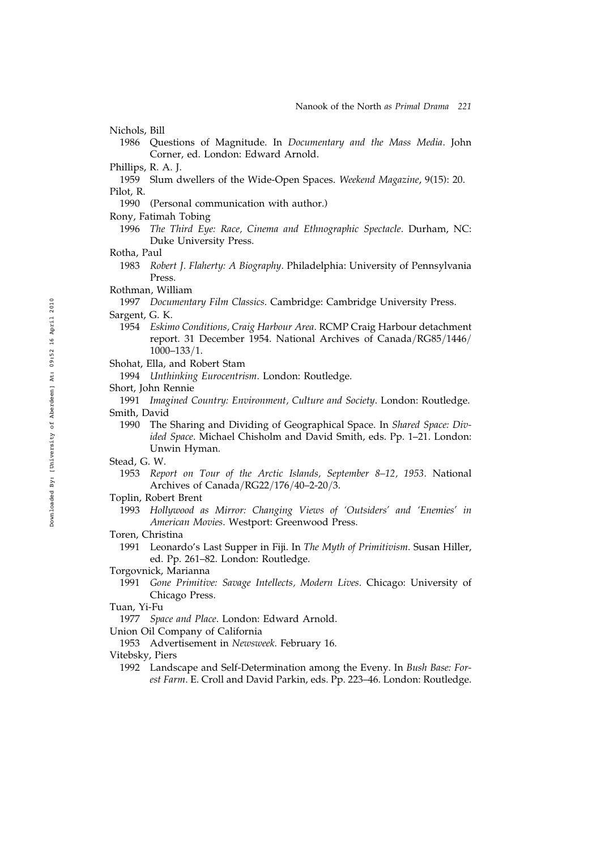Nichols, Bill

- 1986 Questions of Magnitude. In Documentary and the Mass Media. John Corner, ed. London: Edward Arnold.
- Phillips, R. A. J.
- 1959 Slum dwellers of the Wide-Open Spaces. Weekend Magazine, 9(15): 20. Pilot, R.
	- 1990 (Personal communication with author.)
- Rony, Fatimah Tobing
	- 1996 The Third Eye: Race, Cinema and Ethnographic Spectacle. Durham, NC: Duke University Press.
- Rotha, Paul
	- 1983 Robert J. Flaherty: A Biography. Philadelphia: University of Pennsylvania Press.
- Rothman, William
	- 1997 Documentary Film Classics. Cambridge: Cambridge University Press.
- Sargent, G. K.
	- 1954 Eskimo Conditions, Craig Harbour Area. RCMP Craig Harbour detachment report. 31 December 1954. National Archives of Canada/RG85/1446/  $1000 - 133/1.$
- Shohat, Ella, and Robert Stam
	- 1994 Unthinking Eurocentrism. London: Routledge.
- Short, John Rennie
- 1991 Imagined Country: Environment, Culture and Society. London: Routledge. Smith, David
	- 1990 The Sharing and Dividing of Geographical Space. In Shared Space: Divided Space. Michael Chisholm and David Smith, eds. Pp. 1–21. London: Unwin Hyman.
- Stead, G. W.
	- 1953 Report on Tour of the Arctic Islands, September 8–12, 1953. National Archives of Canada/RG22/176/40-2-20/3.
- Toplin, Robert Brent
	- 1993 Hollywood as Mirror: Changing Views of 'Outsiders' and 'Enemies' in American Movies. Westport: Greenwood Press.
- Toren, Christina
	- 1991 Leonardo's Last Supper in Fiji. In The Myth of Primitivism. Susan Hiller, ed. Pp. 261–82. London: Routledge.
- Torgovnick, Marianna
	- 1991 Gone Primitive: Savage Intellects, Modern Lives. Chicago: University of Chicago Press.
- Tuan, Yi-Fu
- 1977 Space and Place. London: Edward Arnold.
- Union Oil Company of California
	- 1953 Advertisement in Newsweek. February 16.
- Vitebsky, Piers
	- 1992 Landscape and Self-Determination among the Eveny. In Bush Base: Forest Farm. E. Croll and David Parkin, eds. Pp. 223–46. London: Routledge.